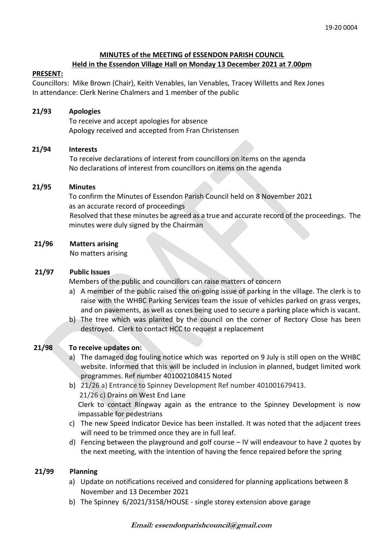## **MINUTES of the MEETING of ESSENDON PARISH COUNCIL Held in the Essendon Village Hall on Monday 13 December 2021 at 7.00pm**

### **PRESENT:**

Councillors: Mike Brown (Chair), Keith Venables, Ian Venables, Tracey Willetts and Rex Jones In attendance: Clerk Nerine Chalmers and 1 member of the public

## **21/93 Apologies**

To receive and accept apologies for absence Apology received and accepted from Fran Christensen

### **21/94 Interests**

To receive declarations of interest from councillors on items on the agenda No declarations of interest from councillors on items on the agenda

### **21/95 Minutes**

 To confirm the Minutes of Essendon Parish Council held on 8 November 2021 as an accurate record of proceedings Resolved that these minutes be agreed as a true and accurate record of the proceedings. The minutes were duly signed by the Chairman

## **21/96 Matters arising**

No matters arising

## **21/97 Public Issues**

Members of the public and councillors can raise matters of concern

- a) A member of the public raised the on-going issue of parking in the village. The clerk is to raise with the WHBC Parking Services team the issue of vehicles parked on grass verges, and on pavements, as well as cones being used to secure a parking place which is vacant.
- b) The tree which was planted by the council on the corner of Rectory Close has been destroyed. Clerk to contact HCC to request a replacement

# **21/98 To receive updates on:**

- a) The damaged dog fouling notice which was reported on 9 July is still open on the WHBC website. Informed that this will be included in inclusion in planned, budget limited work programmes. Ref number 401002108415 Noted
- b) 21/26 a) Entrance to Spinney Development Ref number 401001679413. 21/26 c) Drains on West End Lane Clerk to contact Ringway again as the entrance to the Spinney Development is now
	- impassable for pedestrians
- c) The new Speed Indicator Device has been installed. It was noted that the adjacent trees will need to be trimmed once they are in full leaf.
- d) Fencing between the playground and golf course IV will endeavour to have 2 quotes by the next meeting, with the intention of having the fence repaired before the spring

# **21/99 Planning**

- a) Update on notifications received and considered for planning applications between 8 November and 13 December 2021
- b) The Spinney 6/2021/3158/HOUSE single storey extension above garage

#### **Email: essendonparishcouncil@gmail.com**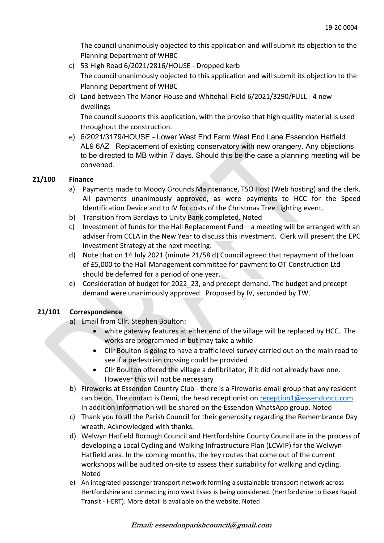The council unanimously objected to this application and will submit its objection to the Planning Department of WHBC

- c) 53 High Road 6/2021/2816/HOUSE Dropped kerb The council unanimously objected to this application and will submit its objection to the Planning Department of WHBC
- d) Land between The Manor House and Whitehall Field 6/2021/3290/FULL 4 new dwellings

The council supports this application, with the proviso that high quality material is used throughout the construction.

e) 6/2021/3179/HOUSE - Lower West End Farm West End Lane Essendon Hatfield AL9 6AZ Replacement of existing conservatory with new orangery. Any objections to be directed to MB within 7 days. Should this be the case a planning meeting will be convened.

# **21/100 Finance**

- a) Payments made to Moody Grounds Maintenance, TSO Host (Web hosting) and the clerk. All payments unanimously approved, as were payments to HCC for the Speed Identification Device and to IV for costs of the Christmas Tree Lighting event.
- b) Transition from Barclays to Unity Bank completed. Noted
- c) Investment of funds for the Hall Replacement Fund a meeting will be arranged with an adviser from CCLA in the New Year to discuss this investment. Clerk will present the EPC Investment Strategy at the next meeting.
- d) Note that on 14 July 2021 (minute 21/58 d) Council agreed that repayment of the loan of £5,000 to the Hall Management committee for payment to OT Construction Ltd should be deferred for a period of one year.
- e) Consideration of budget for 2022\_23, and precept demand. The budget and precept demand were unanimously approved. Proposed by IV, seconded by TW.

# **21/101 Correspondence**

- a) Email from Cllr. Stephen Boulton:
	- white gateway features at either end of the village will be replaced by HCC. The works are programmed in but may take a while
	- Cllr Boulton is going to have a traffic level survey carried out on the main road to see if a pedestrian crossing could be provided
	- Cllr Boulton offered the village a defibrillator, if it did not already have one. However this will not be necessary
- b) Fireworks at Essendon Country Club there is a Fireworks email group that any resident can be on. The contact is Demi, the head receptionist on [reception1@essendoncc.com](mailto:reception1@essendoncc.com) In addition information will be shared on the Essendon WhatsApp group. Noted
- c) Thank you to all the Parish Council for their generosity regarding the Remembrance Day wreath. Acknowledged with thanks.
- d) Welwyn Hatfield Borough Council and Hertfordshire County Council are in the process of developing a Local Cycling and Walking Infrastructure Plan (LCWIP) for the Welwyn Hatfield area. In the coming months, the key routes that come out of the current workshops will be audited on-site to assess their suitability for walking and cycling. Noted
- e) An integrated passenger transport network forming a sustainable transport network across Hertfordshire and connecting into west Essex is being considered. (Hertfordshire to Essex Rapid Transit - HERT). More detail is available on the website. Noted

# **Email: essendonparishcouncil@gmail.com**